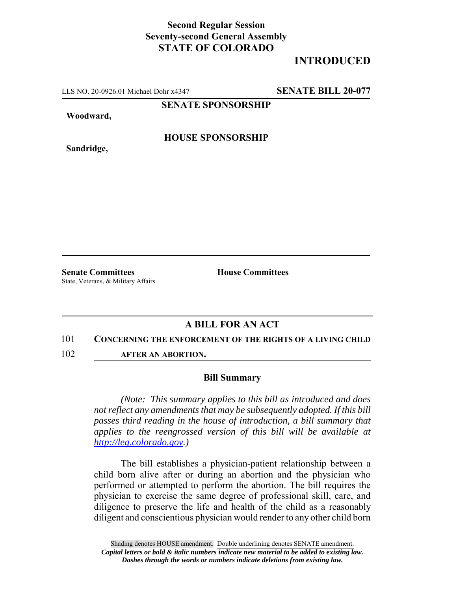## **Second Regular Session Seventy-second General Assembly STATE OF COLORADO**

# **INTRODUCED**

LLS NO. 20-0926.01 Michael Dohr x4347 **SENATE BILL 20-077**

**SENATE SPONSORSHIP**

**Woodward,**

**HOUSE SPONSORSHIP**

**Sandridge,**

**Senate Committees House Committees** State, Veterans, & Military Affairs

## **A BILL FOR AN ACT**

#### 101 **CONCERNING THE ENFORCEMENT OF THE RIGHTS OF A LIVING CHILD**

102 **AFTER AN ABORTION.**

### **Bill Summary**

*(Note: This summary applies to this bill as introduced and does not reflect any amendments that may be subsequently adopted. If this bill passes third reading in the house of introduction, a bill summary that applies to the reengrossed version of this bill will be available at http://leg.colorado.gov.)*

The bill establishes a physician-patient relationship between a child born alive after or during an abortion and the physician who performed or attempted to perform the abortion. The bill requires the physician to exercise the same degree of professional skill, care, and diligence to preserve the life and health of the child as a reasonably diligent and conscientious physician would render to any other child born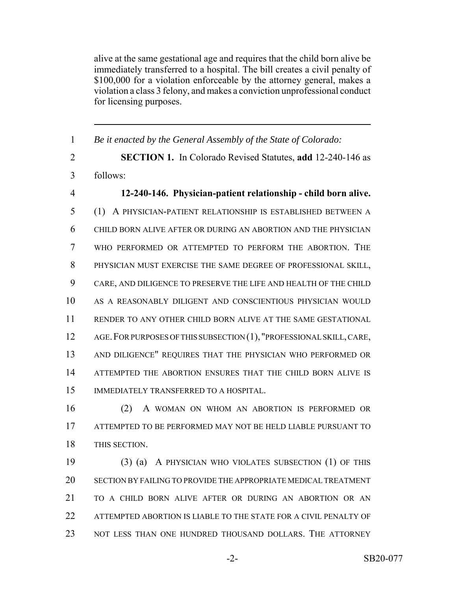alive at the same gestational age and requires that the child born alive be immediately transferred to a hospital. The bill creates a civil penalty of \$100,000 for a violation enforceable by the attorney general, makes a violation a class 3 felony, and makes a conviction unprofessional conduct for licensing purposes.

 *Be it enacted by the General Assembly of the State of Colorado:* **SECTION 1.** In Colorado Revised Statutes, **add** 12-240-146 as follows: **12-240-146. Physician-patient relationship - child born alive.** (1) A PHYSICIAN-PATIENT RELATIONSHIP IS ESTABLISHED BETWEEN A CHILD BORN ALIVE AFTER OR DURING AN ABORTION AND THE PHYSICIAN WHO PERFORMED OR ATTEMPTED TO PERFORM THE ABORTION. THE PHYSICIAN MUST EXERCISE THE SAME DEGREE OF PROFESSIONAL SKILL, CARE, AND DILIGENCE TO PRESERVE THE LIFE AND HEALTH OF THE CHILD AS A REASONABLY DILIGENT AND CONSCIENTIOUS PHYSICIAN WOULD RENDER TO ANY OTHER CHILD BORN ALIVE AT THE SAME GESTATIONAL AGE.FOR PURPOSES OF THIS SUBSECTION (1), "PROFESSIONAL SKILL, CARE, AND DILIGENCE" REQUIRES THAT THE PHYSICIAN WHO PERFORMED OR ATTEMPTED THE ABORTION ENSURES THAT THE CHILD BORN ALIVE IS IMMEDIATELY TRANSFERRED TO A HOSPITAL. (2) A WOMAN ON WHOM AN ABORTION IS PERFORMED OR

 ATTEMPTED TO BE PERFORMED MAY NOT BE HELD LIABLE PURSUANT TO THIS SECTION.

 (3) (a) A PHYSICIAN WHO VIOLATES SUBSECTION (1) OF THIS SECTION BY FAILING TO PROVIDE THE APPROPRIATE MEDICAL TREATMENT TO A CHILD BORN ALIVE AFTER OR DURING AN ABORTION OR AN 22 ATTEMPTED ABORTION IS LIABLE TO THE STATE FOR A CIVIL PENALTY OF NOT LESS THAN ONE HUNDRED THOUSAND DOLLARS. THE ATTORNEY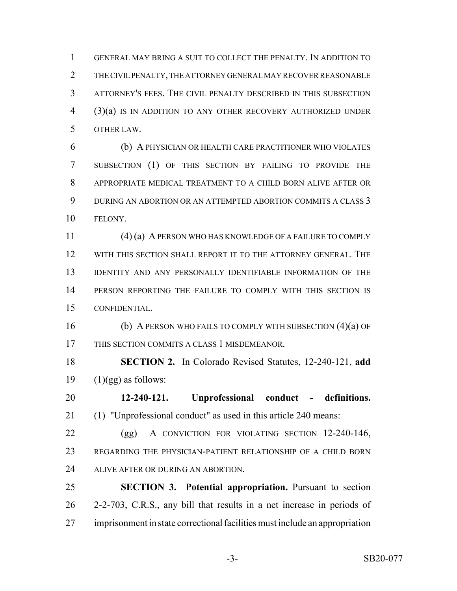GENERAL MAY BRING A SUIT TO COLLECT THE PENALTY. IN ADDITION TO THE CIVIL PENALTY, THE ATTORNEY GENERAL MAY RECOVER REASONABLE ATTORNEY'S FEES. THE CIVIL PENALTY DESCRIBED IN THIS SUBSECTION (3)(a) IS IN ADDITION TO ANY OTHER RECOVERY AUTHORIZED UNDER OTHER LAW.

 (b) A PHYSICIAN OR HEALTH CARE PRACTITIONER WHO VIOLATES SUBSECTION (1) OF THIS SECTION BY FAILING TO PROVIDE THE APPROPRIATE MEDICAL TREATMENT TO A CHILD BORN ALIVE AFTER OR DURING AN ABORTION OR AN ATTEMPTED ABORTION COMMITS A CLASS 3 FELONY.

 (4) (a) A PERSON WHO HAS KNOWLEDGE OF A FAILURE TO COMPLY WITH THIS SECTION SHALL REPORT IT TO THE ATTORNEY GENERAL. THE IDENTITY AND ANY PERSONALLY IDENTIFIABLE INFORMATION OF THE PERSON REPORTING THE FAILURE TO COMPLY WITH THIS SECTION IS CONFIDENTIAL.

 (b) A PERSON WHO FAILS TO COMPLY WITH SUBSECTION (4)(a) OF THIS SECTION COMMITS A CLASS 1 MISDEMEANOR.

 **SECTION 2.** In Colorado Revised Statutes, 12-240-121, **add** 19  $(1)(gg)$  as follows:

 **12-240-121. Unprofessional conduct - definitions.** (1) "Unprofessional conduct" as used in this article 240 means:

 (gg) A CONVICTION FOR VIOLATING SECTION 12-240-146, REGARDING THE PHYSICIAN-PATIENT RELATIONSHIP OF A CHILD BORN 24 ALIVE AFTER OR DURING AN ABORTION.

 **SECTION 3. Potential appropriation.** Pursuant to section 2-2-703, C.R.S., any bill that results in a net increase in periods of imprisonment in state correctional facilities must include an appropriation